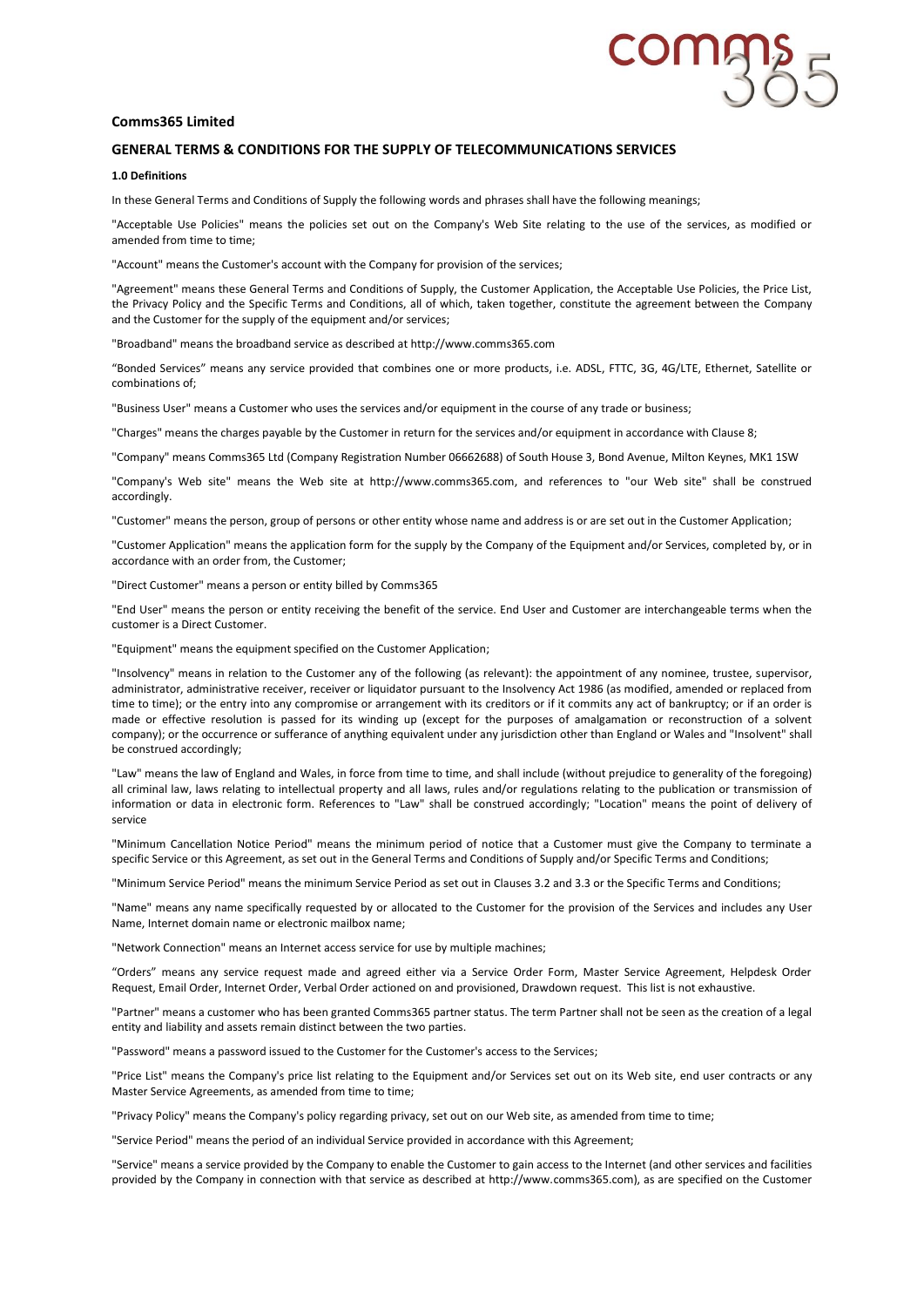# **COMA**

## **Comms365 Limited**

# **GENERAL TERMS & CONDITIONS FOR THE SUPPLY OF TELECOMMUNICATIONS SERVICES**

## **1.0 Definitions**

In these General Terms and Conditions of Supply the following words and phrases shall have the following meanings;

"Acceptable Use Policies" means the policies set out on the Company's Web Site relating to the use of the services, as modified or amended from time to time;

"Account" means the Customer's account with the Company for provision of the services;

"Agreement" means these General Terms and Conditions of Supply, the Customer Application, the Acceptable Use Policies, the Price List, the Privacy Policy and the Specific Terms and Conditions, all of which, taken together, constitute the agreement between the Company and the Customer for the supply of the equipment and/or services;

"Broadband" means the broadband service as described at http://www.comms365.com

"Bonded Services" means any service provided that combines one or more products, i.e. ADSL, FTTC, 3G, 4G/LTE, Ethernet, Satellite or combinations of;

"Business User" means a Customer who uses the services and/or equipment in the course of any trade or business;

"Charges" means the charges payable by the Customer in return for the services and/or equipment in accordance with Clause 8;

"Company" means Comms365 Ltd (Company Registration Number 06662688) of South House 3, Bond Avenue, Milton Keynes, MK1 1SW

"Company's Web site" means the Web site at http://www.comms365.com, and references to "our Web site" shall be construed accordingly.

"Customer" means the person, group of persons or other entity whose name and address is or are set out in the Customer Application;

"Customer Application" means the application form for the supply by the Company of the Equipment and/or Services, completed by, or in accordance with an order from, the Customer;

"Direct Customer" means a person or entity billed by Comms365

"End User" means the person or entity receiving the benefit of the service. End User and Customer are interchangeable terms when the customer is a Direct Customer.

"Equipment" means the equipment specified on the Customer Application;

"Insolvency" means in relation to the Customer any of the following (as relevant): the appointment of any nominee, trustee, supervisor, administrator, administrative receiver, receiver or liquidator pursuant to the Insolvency Act 1986 (as modified, amended or replaced from time to time); or the entry into any compromise or arrangement with its creditors or if it commits any act of bankruptcy; or if an order is made or effective resolution is passed for its winding up (except for the purposes of amalgamation or reconstruction of a solvent company); or the occurrence or sufferance of anything equivalent under any jurisdiction other than England or Wales and "Insolvent" shall be construed accordingly;

"Law" means the law of England and Wales, in force from time to time, and shall include (without prejudice to generality of the foregoing) all criminal law, laws relating to intellectual property and all laws, rules and/or regulations relating to the publication or transmission of information or data in electronic form. References to "Law" shall be construed accordingly; "Location" means the point of delivery of service

"Minimum Cancellation Notice Period" means the minimum period of notice that a Customer must give the Company to terminate a specific Service or this Agreement, as set out in the General Terms and Conditions of Supply and/or Specific Terms and Conditions;

"Minimum Service Period" means the minimum Service Period as set out in Clauses 3.2 and 3.3 or the Specific Terms and Conditions;

"Name" means any name specifically requested by or allocated to the Customer for the provision of the Services and includes any User Name, Internet domain name or electronic mailbox name;

"Network Connection" means an Internet access service for use by multiple machines;

"Orders" means any service request made and agreed either via a Service Order Form, Master Service Agreement, Helpdesk Order Request, Email Order, Internet Order, Verbal Order actioned on and provisioned, Drawdown request. This list is not exhaustive.

"Partner" means a customer who has been granted Comms365 partner status. The term Partner shall not be seen as the creation of a legal entity and liability and assets remain distinct between the two parties.

"Password" means a password issued to the Customer for the Customer's access to the Services;

"Price List" means the Company's price list relating to the Equipment and/or Services set out on its Web site, end user contracts or any Master Service Agreements, as amended from time to time;

"Privacy Policy" means the Company's policy regarding privacy, set out on our Web site, as amended from time to time;

"Service Period" means the period of an individual Service provided in accordance with this Agreement;

"Service" means a service provided by the Company to enable the Customer to gain access to the Internet (and other services and facilities provided by the Company in connection with that service as described at http://www.comms365.com), as are specified on the Customer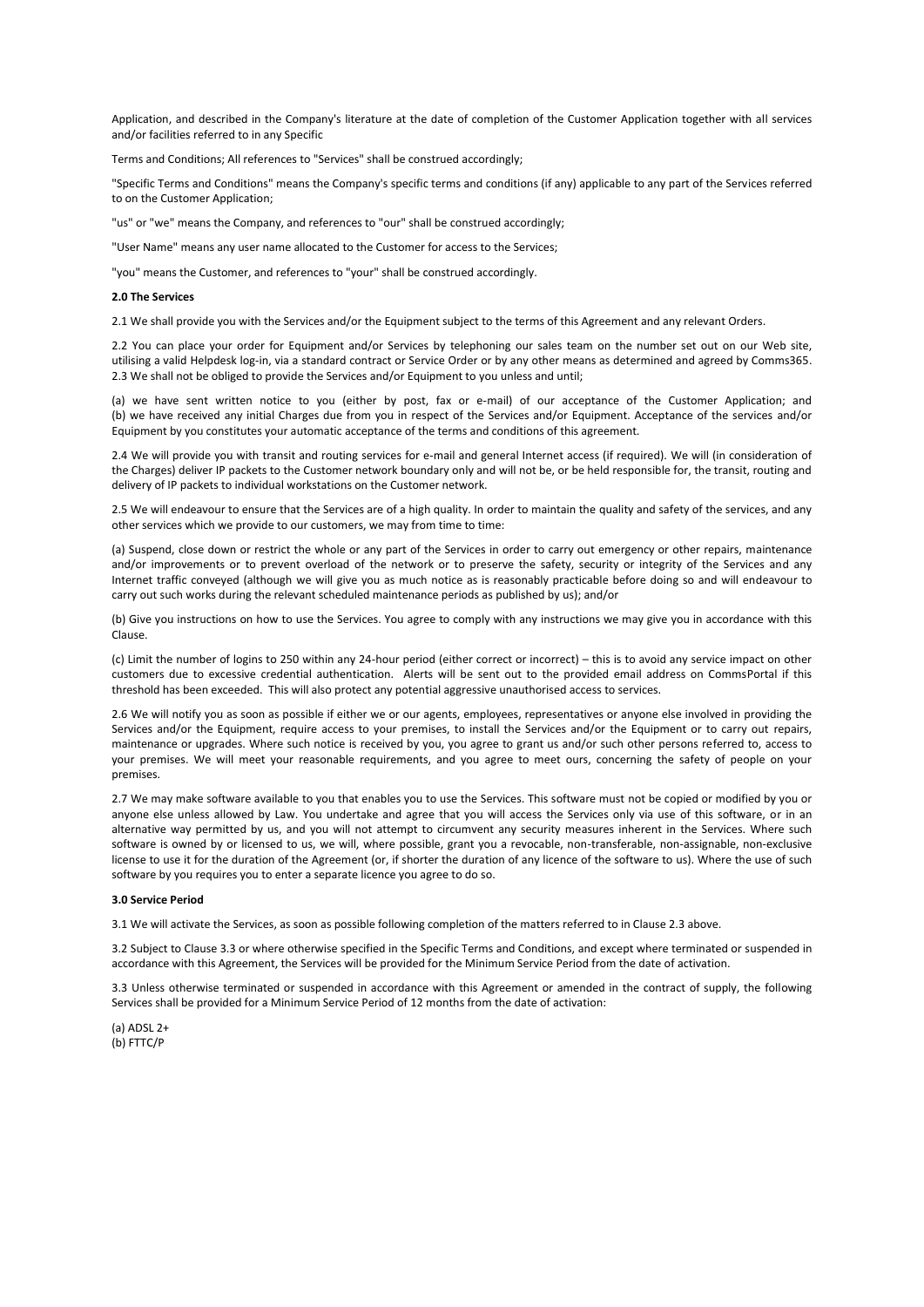Application, and described in the Company's literature at the date of completion of the Customer Application together with all services and/or facilities referred to in any Specific

Terms and Conditions; All references to "Services" shall be construed accordingly;

"Specific Terms and Conditions" means the Company's specific terms and conditions (if any) applicable to any part of the Services referred to on the Customer Application;

"us" or "we" means the Company, and references to "our" shall be construed accordingly;

"User Name" means any user name allocated to the Customer for access to the Services;

"you" means the Customer, and references to "your" shall be construed accordingly.

## **2.0 The Services**

2.1 We shall provide you with the Services and/or the Equipment subject to the terms of this Agreement and any relevant Orders.

2.2 You can place your order for Equipment and/or Services by telephoning our sales team on the number set out on our Web site, utilising a valid Helpdesk log-in, via a standard contract or Service Order or by any other means as determined and agreed by Comms365. 2.3 We shall not be obliged to provide the Services and/or Equipment to you unless and until;

(a) we have sent written notice to you (either by post, fax or e-mail) of our acceptance of the Customer Application; and (b) we have received any initial Charges due from you in respect of the Services and/or Equipment. Acceptance of the services and/or Equipment by you constitutes your automatic acceptance of the terms and conditions of this agreement.

2.4 We will provide you with transit and routing services for e-mail and general Internet access (if required). We will (in consideration of the Charges) deliver IP packets to the Customer network boundary only and will not be, or be held responsible for, the transit, routing and delivery of IP packets to individual workstations on the Customer network.

2.5 We will endeavour to ensure that the Services are of a high quality. In order to maintain the quality and safety of the services, and any other services which we provide to our customers, we may from time to time:

(a) Suspend, close down or restrict the whole or any part of the Services in order to carry out emergency or other repairs, maintenance and/or improvements or to prevent overload of the network or to preserve the safety, security or integrity of the Services and any Internet traffic conveyed (although we will give you as much notice as is reasonably practicable before doing so and will endeavour to carry out such works during the relevant scheduled maintenance periods as published by us); and/or

(b) Give you instructions on how to use the Services. You agree to comply with any instructions we may give you in accordance with this Clause.

(c) Limit the number of logins to 250 within any 24-hour period (either correct or incorrect) – this is to avoid any service impact on other customers due to excessive credential authentication. Alerts will be sent out to the provided email address on CommsPortal if this threshold has been exceeded. This will also protect any potential aggressive unauthorised access to services.

2.6 We will notify you as soon as possible if either we or our agents, employees, representatives or anyone else involved in providing the Services and/or the Equipment, require access to your premises, to install the Services and/or the Equipment or to carry out repairs, maintenance or upgrades. Where such notice is received by you, you agree to grant us and/or such other persons referred to, access to your premises. We will meet your reasonable requirements, and you agree to meet ours, concerning the safety of people on your premises.

2.7 We may make software available to you that enables you to use the Services. This software must not be copied or modified by you or anyone else unless allowed by Law. You undertake and agree that you will access the Services only via use of this software, or in an alternative way permitted by us, and you will not attempt to circumvent any security measures inherent in the Services. Where such software is owned by or licensed to us, we will, where possible, grant you a revocable, non-transferable, non-assignable, non-exclusive license to use it for the duration of the Agreement (or, if shorter the duration of any licence of the software to us). Where the use of such software by you requires you to enter a separate licence you agree to do so.

#### **3.0 Service Period**

3.1 We will activate the Services, as soon as possible following completion of the matters referred to in Clause 2.3 above.

3.2 Subject to Clause 3.3 or where otherwise specified in the Specific Terms and Conditions, and except where terminated or suspended in accordance with this Agreement, the Services will be provided for the Minimum Service Period from the date of activation.

3.3 Unless otherwise terminated or suspended in accordance with this Agreement or amended in the contract of supply, the following Services shall be provided for a Minimum Service Period of 12 months from the date of activation:

(a) ADSL 2+ (b) FTTC/P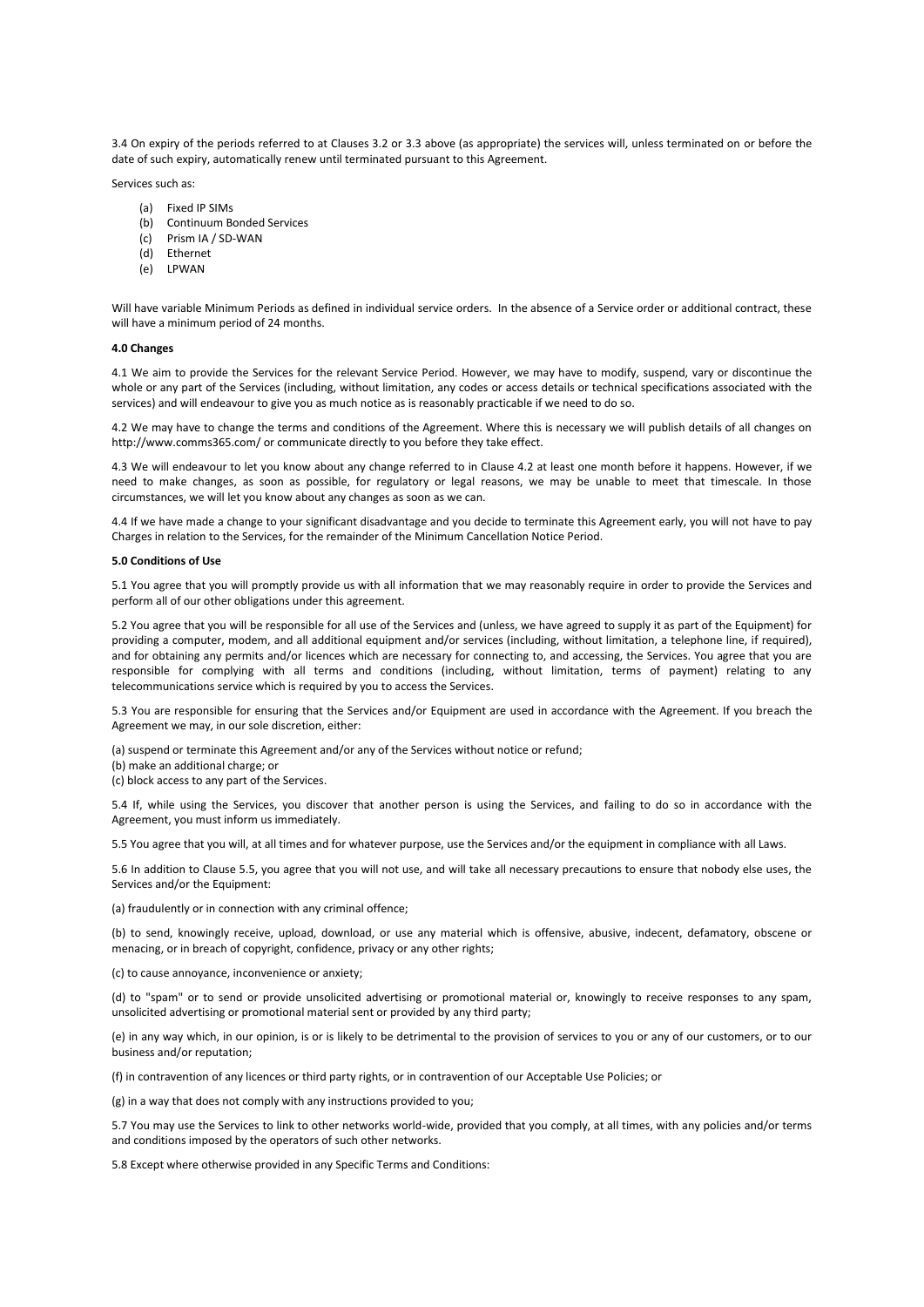3.4 On expiry of the periods referred to at Clauses 3.2 or 3.3 above (as appropriate) the services will, unless terminated on or before the date of such expiry, automatically renew until terminated pursuant to this Agreement.

Services such as:

- (a) Fixed IP SIMs
- (b) Continuum Bonded Services
- (c) Prism IA / SD-WAN
- (d) Ethernet
- (e) LPWAN

Will have variable Minimum Periods as defined in individual service orders. In the absence of a Service order or additional contract, these will have a minimum period of 24 months.

#### **4.0 Changes**

4.1 We aim to provide the Services for the relevant Service Period. However, we may have to modify, suspend, vary or discontinue the whole or any part of the Services (including, without limitation, any codes or access details or technical specifications associated with the services) and will endeavour to give you as much notice as is reasonably practicable if we need to do so.

4.2 We may have to change the terms and conditions of the Agreement. Where this is necessary we will publish details of all changes on http://www.comms365.com/ or communicate directly to you before they take effect.

4.3 We will endeavour to let you know about any change referred to in Clause 4.2 at least one month before it happens. However, if we need to make changes, as soon as possible, for regulatory or legal reasons, we may be unable to meet that timescale. In those circumstances, we will let you know about any changes as soon as we can.

4.4 If we have made a change to your significant disadvantage and you decide to terminate this Agreement early, you will not have to pay Charges in relation to the Services, for the remainder of the Minimum Cancellation Notice Period.

## **5.0 Conditions of Use**

5.1 You agree that you will promptly provide us with all information that we may reasonably require in order to provide the Services and perform all of our other obligations under this agreement.

5.2 You agree that you will be responsible for all use of the Services and (unless, we have agreed to supply it as part of the Equipment) for providing a computer, modem, and all additional equipment and/or services (including, without limitation, a telephone line, if required), and for obtaining any permits and/or licences which are necessary for connecting to, and accessing, the Services. You agree that you are responsible for complying with all terms and conditions (including, without limitation, terms of payment) relating to any telecommunications service which is required by you to access the Services.

5.3 You are responsible for ensuring that the Services and/or Equipment are used in accordance with the Agreement. If you breach the Agreement we may, in our sole discretion, either:

(a) suspend or terminate this Agreement and/or any of the Services without notice or refund;

- (b) make an additional charge; or
- (c) block access to any part of the Services.

5.4 If, while using the Services, you discover that another person is using the Services, and failing to do so in accordance with the Agreement, you must inform us immediately.

5.5 You agree that you will, at all times and for whatever purpose, use the Services and/or the equipment in compliance with all Laws.

5.6 In addition to Clause 5.5, you agree that you will not use, and will take all necessary precautions to ensure that nobody else uses, the Services and/or the Equipment:

(a) fraudulently or in connection with any criminal offence;

(b) to send, knowingly receive, upload, download, or use any material which is offensive, abusive, indecent, defamatory, obscene or menacing, or in breach of copyright, confidence, privacy or any other rights;

(c) to cause annoyance, inconvenience or anxiety;

(d) to "spam" or to send or provide unsolicited advertising or promotional material or, knowingly to receive responses to any spam, unsolicited advertising or promotional material sent or provided by any third party;

(e) in any way which, in our opinion, is or is likely to be detrimental to the provision of services to you or any of our customers, or to our business and/or reputation;

(f) in contravention of any licences or third party rights, or in contravention of our Acceptable Use Policies; or

(g) in a way that does not comply with any instructions provided to you;

5.7 You may use the Services to link to other networks world-wide, provided that you comply, at all times, with any policies and/or terms and conditions imposed by the operators of such other networks.

5.8 Except where otherwise provided in any Specific Terms and Conditions: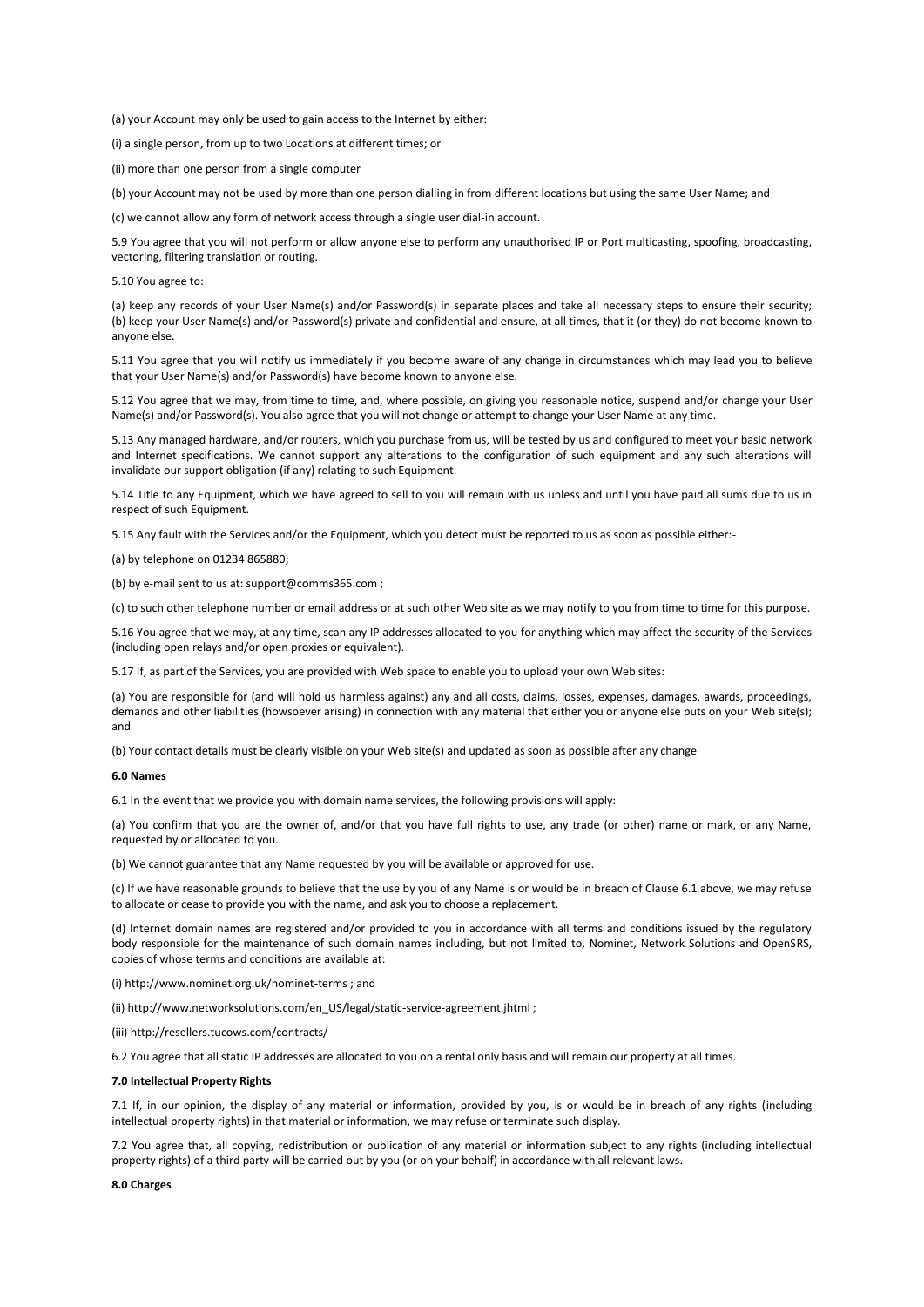(a) your Account may only be used to gain access to the Internet by either:

(i) a single person, from up to two Locations at different times; or

(ii) more than one person from a single computer

(b) your Account may not be used by more than one person dialling in from different locations but using the same User Name; and

(c) we cannot allow any form of network access through a single user dial-in account.

5.9 You agree that you will not perform or allow anyone else to perform any unauthorised IP or Port multicasting, spoofing, broadcasting, vectoring, filtering translation or routing.

#### 5.10 You agree to:

(a) keep any records of your User Name(s) and/or Password(s) in separate places and take all necessary steps to ensure their security; (b) keep your User Name(s) and/or Password(s) private and confidential and ensure, at all times, that it (or they) do not become known to anyone else.

5.11 You agree that you will notify us immediately if you become aware of any change in circumstances which may lead you to believe that your User Name(s) and/or Password(s) have become known to anyone else.

5.12 You agree that we may, from time to time, and, where possible, on giving you reasonable notice, suspend and/or change your User Name(s) and/or Password(s). You also agree that you will not change or attempt to change your User Name at any time.

5.13 Any managed hardware, and/or routers, which you purchase from us, will be tested by us and configured to meet your basic network and Internet specifications. We cannot support any alterations to the configuration of such equipment and any such alterations will invalidate our support obligation (if any) relating to such Equipment.

5.14 Title to any Equipment, which we have agreed to sell to you will remain with us unless and until you have paid all sums due to us in respect of such Equipment.

5.15 Any fault with the Services and/or the Equipment, which you detect must be reported to us as soon as possible either:-

(a) by telephone on 01234 865880;

(b) by e-mail sent to us at: support@comms365.com ;

(c) to such other telephone number or email address or at such other Web site as we may notify to you from time to time for this purpose.

5.16 You agree that we may, at any time, scan any IP addresses allocated to you for anything which may affect the security of the Services (including open relays and/or open proxies or equivalent).

5.17 If, as part of the Services, you are provided with Web space to enable you to upload your own Web sites:

(a) You are responsible for (and will hold us harmless against) any and all costs, claims, losses, expenses, damages, awards, proceedings, demands and other liabilities (howsoever arising) in connection with any material that either you or anyone else puts on your Web site(s); and

(b) Your contact details must be clearly visible on your Web site(s) and updated as soon as possible after any change

#### **6.0 Names**

6.1 In the event that we provide you with domain name services, the following provisions will apply:

(a) You confirm that you are the owner of, and/or that you have full rights to use, any trade (or other) name or mark, or any Name, requested by or allocated to you.

(b) We cannot guarantee that any Name requested by you will be available or approved for use.

(c) If we have reasonable grounds to believe that the use by you of any Name is or would be in breach of Clause 6.1 above, we may refuse to allocate or cease to provide you with the name, and ask you to choose a replacement.

(d) Internet domain names are registered and/or provided to you in accordance with all terms and conditions issued by the regulatory body responsible for the maintenance of such domain names including, but not limited to, Nominet, Network Solutions and OpenSRS, copies of whose terms and conditions are available at:

(i) http://www.nominet.org.uk/nominet-terms ; and

(ii) http://www.networksolutions.com/en\_US/legal/static-service-agreement.jhtml ;

(iii) http://resellers.tucows.com/contracts/

6.2 You agree that all static IP addresses are allocated to you on a rental only basis and will remain our property at all times.

## **7.0 Intellectual Property Rights**

7.1 If, in our opinion, the display of any material or information, provided by you, is or would be in breach of any rights (including intellectual property rights) in that material or information, we may refuse or terminate such display.

7.2 You agree that, all copying, redistribution or publication of any material or information subject to any rights (including intellectual property rights) of a third party will be carried out by you (or on your behalf) in accordance with all relevant laws.

### **8.0 Charges**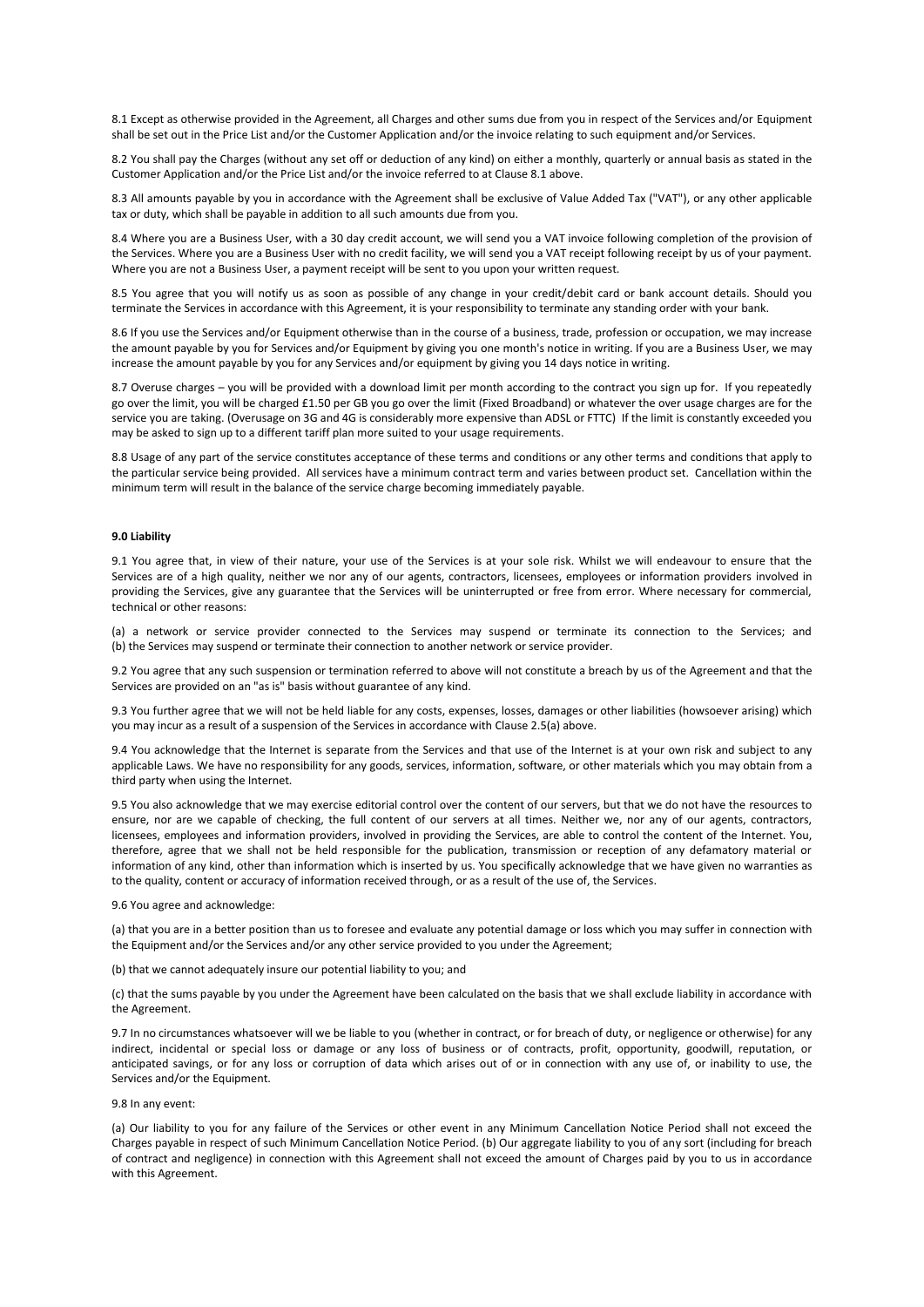8.1 Except as otherwise provided in the Agreement, all Charges and other sums due from you in respect of the Services and/or Equipment shall be set out in the Price List and/or the Customer Application and/or the invoice relating to such equipment and/or Services.

8.2 You shall pay the Charges (without any set off or deduction of any kind) on either a monthly, quarterly or annual basis as stated in the Customer Application and/or the Price List and/or the invoice referred to at Clause 8.1 above.

8.3 All amounts payable by you in accordance with the Agreement shall be exclusive of Value Added Tax ("VAT"), or any other applicable tax or duty, which shall be payable in addition to all such amounts due from you.

8.4 Where you are a Business User, with a 30 day credit account, we will send you a VAT invoice following completion of the provision of the Services. Where you are a Business User with no credit facility, we will send you a VAT receipt following receipt by us of your payment. Where you are not a Business User, a payment receipt will be sent to you upon your written request.

8.5 You agree that you will notify us as soon as possible of any change in your credit/debit card or bank account details. Should you terminate the Services in accordance with this Agreement, it is your responsibility to terminate any standing order with your bank.

8.6 If you use the Services and/or Equipment otherwise than in the course of a business, trade, profession or occupation, we may increase the amount payable by you for Services and/or Equipment by giving you one month's notice in writing. If you are a Business User, we may increase the amount payable by you for any Services and/or equipment by giving you 14 days notice in writing.

8.7 Overuse charges – you will be provided with a download limit per month according to the contract you sign up for. If you repeatedly go over the limit, you will be charged £1.50 per GB you go over the limit (Fixed Broadband) or whatever the over usage charges are for the service you are taking. (Overusage on 3G and 4G is considerably more expensive than ADSL or FTTC) If the limit is constantly exceeded you may be asked to sign up to a different tariff plan more suited to your usage requirements.

8.8 Usage of any part of the service constitutes acceptance of these terms and conditions or any other terms and conditions that apply to the particular service being provided. All services have a minimum contract term and varies between product set. Cancellation within the minimum term will result in the balance of the service charge becoming immediately payable.

## **9.0 Liability**

9.1 You agree that, in view of their nature, your use of the Services is at your sole risk. Whilst we will endeavour to ensure that the Services are of a high quality, neither we nor any of our agents, contractors, licensees, employees or information providers involved in providing the Services, give any guarantee that the Services will be uninterrupted or free from error. Where necessary for commercial, technical or other reasons:

(a) a network or service provider connected to the Services may suspend or terminate its connection to the Services; and (b) the Services may suspend or terminate their connection to another network or service provider.

9.2 You agree that any such suspension or termination referred to above will not constitute a breach by us of the Agreement and that the Services are provided on an "as is" basis without guarantee of any kind.

9.3 You further agree that we will not be held liable for any costs, expenses, losses, damages or other liabilities (howsoever arising) which you may incur as a result of a suspension of the Services in accordance with Clause 2.5(a) above.

9.4 You acknowledge that the Internet is separate from the Services and that use of the Internet is at your own risk and subject to any applicable Laws. We have no responsibility for any goods, services, information, software, or other materials which you may obtain from a third party when using the Internet.

9.5 You also acknowledge that we may exercise editorial control over the content of our servers, but that we do not have the resources to ensure, nor are we capable of checking, the full content of our servers at all times. Neither we, nor any of our agents, contractors, licensees, employees and information providers, involved in providing the Services, are able to control the content of the Internet. You, therefore, agree that we shall not be held responsible for the publication, transmission or reception of any defamatory material or information of any kind, other than information which is inserted by us. You specifically acknowledge that we have given no warranties as to the quality, content or accuracy of information received through, or as a result of the use of, the Services.

9.6 You agree and acknowledge:

(a) that you are in a better position than us to foresee and evaluate any potential damage or loss which you may suffer in connection with the Equipment and/or the Services and/or any other service provided to you under the Agreement;

(b) that we cannot adequately insure our potential liability to you; and

(c) that the sums payable by you under the Agreement have been calculated on the basis that we shall exclude liability in accordance with the Agreement.

9.7 In no circumstances whatsoever will we be liable to you (whether in contract, or for breach of duty, or negligence or otherwise) for any indirect, incidental or special loss or damage or any loss of business or of contracts, profit, opportunity, goodwill, reputation, or anticipated savings, or for any loss or corruption of data which arises out of or in connection with any use of, or inability to use, the Services and/or the Equipment.

#### 9.8 In any event:

(a) Our liability to you for any failure of the Services or other event in any Minimum Cancellation Notice Period shall not exceed the Charges payable in respect of such Minimum Cancellation Notice Period. (b) Our aggregate liability to you of any sort (including for breach of contract and negligence) in connection with this Agreement shall not exceed the amount of Charges paid by you to us in accordance with this Agreement.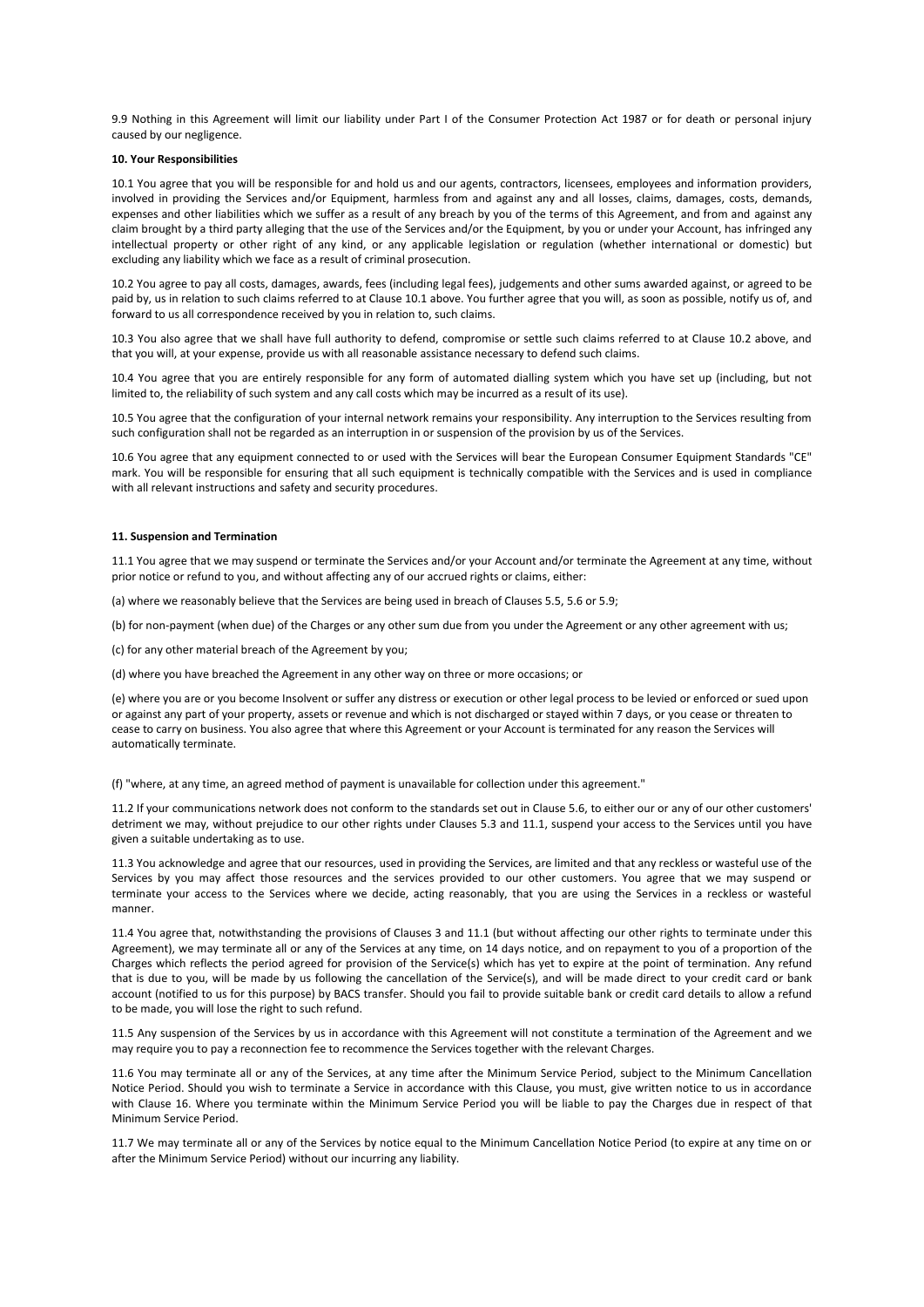9.9 Nothing in this Agreement will limit our liability under Part I of the Consumer Protection Act 1987 or for death or personal injury caused by our negligence.

## **10. Your Responsibilities**

10.1 You agree that you will be responsible for and hold us and our agents, contractors, licensees, employees and information providers, involved in providing the Services and/or Equipment, harmless from and against any and all losses, claims, damages, costs, demands, expenses and other liabilities which we suffer as a result of any breach by you of the terms of this Agreement, and from and against any claim brought by a third party alleging that the use of the Services and/or the Equipment, by you or under your Account, has infringed any intellectual property or other right of any kind, or any applicable legislation or regulation (whether international or domestic) but excluding any liability which we face as a result of criminal prosecution.

10.2 You agree to pay all costs, damages, awards, fees (including legal fees), judgements and other sums awarded against, or agreed to be paid by, us in relation to such claims referred to at Clause 10.1 above. You further agree that you will, as soon as possible, notify us of, and forward to us all correspondence received by you in relation to, such claims.

10.3 You also agree that we shall have full authority to defend, compromise or settle such claims referred to at Clause 10.2 above, and that you will, at your expense, provide us with all reasonable assistance necessary to defend such claims.

10.4 You agree that you are entirely responsible for any form of automated dialling system which you have set up (including, but not limited to, the reliability of such system and any call costs which may be incurred as a result of its use).

10.5 You agree that the configuration of your internal network remains your responsibility. Any interruption to the Services resulting from such configuration shall not be regarded as an interruption in or suspension of the provision by us of the Services.

10.6 You agree that any equipment connected to or used with the Services will bear the European Consumer Equipment Standards "CE" mark. You will be responsible for ensuring that all such equipment is technically compatible with the Services and is used in compliance with all relevant instructions and safety and security procedures.

## **11. Suspension and Termination**

11.1 You agree that we may suspend or terminate the Services and/or your Account and/or terminate the Agreement at any time, without prior notice or refund to you, and without affecting any of our accrued rights or claims, either:

(a) where we reasonably believe that the Services are being used in breach of Clauses 5.5, 5.6 or 5.9;

(b) for non-payment (when due) of the Charges or any other sum due from you under the Agreement or any other agreement with us;

(c) for any other material breach of the Agreement by you;

(d) where you have breached the Agreement in any other way on three or more occasions; or

(e) where you are or you become Insolvent or suffer any distress or execution or other legal process to be levied or enforced or sued upon or against any part of your property, assets or revenue and which is not discharged or stayed within 7 days, or you cease or threaten to cease to carry on business. You also agree that where this Agreement or your Account is terminated for any reason the Services will automatically terminate.

(f) "where, at any time, an agreed method of payment is unavailable for collection under this agreement."

11.2 If your communications network does not conform to the standards set out in Clause 5.6, to either our or any of our other customers' detriment we may, without prejudice to our other rights under Clauses 5.3 and 11.1, suspend your access to the Services until you have given a suitable undertaking as to use.

11.3 You acknowledge and agree that our resources, used in providing the Services, are limited and that any reckless or wasteful use of the Services by you may affect those resources and the services provided to our other customers. You agree that we may suspend or terminate your access to the Services where we decide, acting reasonably, that you are using the Services in a reckless or wasteful manner.

11.4 You agree that, notwithstanding the provisions of Clauses 3 and 11.1 (but without affecting our other rights to terminate under this Agreement), we may terminate all or any of the Services at any time, on 14 days notice, and on repayment to you of a proportion of the Charges which reflects the period agreed for provision of the Service(s) which has yet to expire at the point of termination. Any refund that is due to you, will be made by us following the cancellation of the Service(s), and will be made direct to your credit card or bank account (notified to us for this purpose) by BACS transfer. Should you fail to provide suitable bank or credit card details to allow a refund to be made, you will lose the right to such refund.

11.5 Any suspension of the Services by us in accordance with this Agreement will not constitute a termination of the Agreement and we may require you to pay a reconnection fee to recommence the Services together with the relevant Charges.

11.6 You may terminate all or any of the Services, at any time after the Minimum Service Period, subject to the Minimum Cancellation Notice Period. Should you wish to terminate a Service in accordance with this Clause, you must, give written notice to us in accordance with Clause 16. Where you terminate within the Minimum Service Period you will be liable to pay the Charges due in respect of that Minimum Service Period.

11.7 We may terminate all or any of the Services by notice equal to the Minimum Cancellation Notice Period (to expire at any time on or after the Minimum Service Period) without our incurring any liability.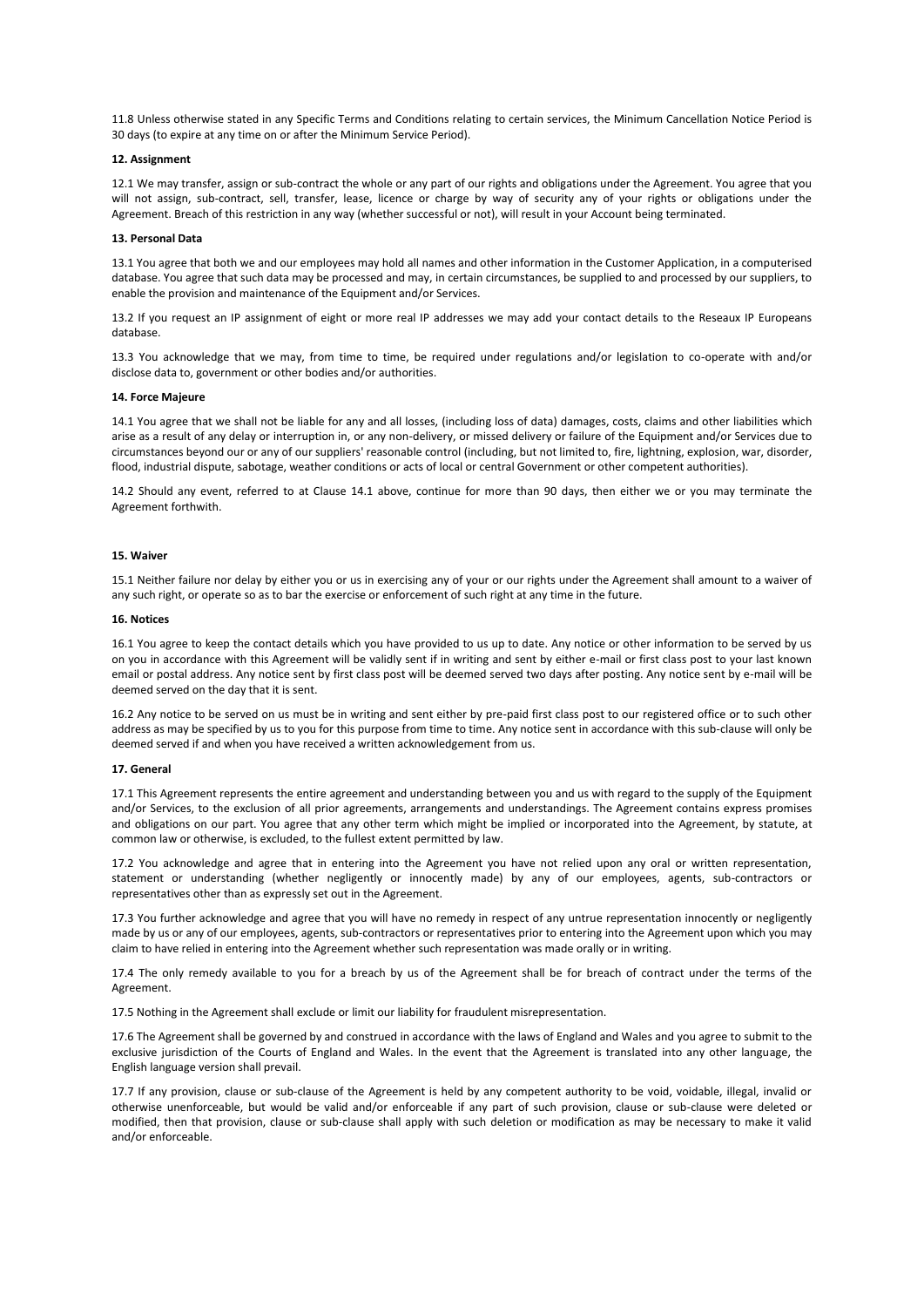11.8 Unless otherwise stated in any Specific Terms and Conditions relating to certain services, the Minimum Cancellation Notice Period is 30 days (to expire at any time on or after the Minimum Service Period).

### **12. Assignment**

12.1 We may transfer, assign or sub-contract the whole or any part of our rights and obligations under the Agreement. You agree that you will not assign, sub-contract, sell, transfer, lease, licence or charge by way of security any of your rights or obligations under the Agreement. Breach of this restriction in any way (whether successful or not), will result in your Account being terminated.

#### **13. Personal Data**

13.1 You agree that both we and our employees may hold all names and other information in the Customer Application, in a computerised database. You agree that such data may be processed and may, in certain circumstances, be supplied to and processed by our suppliers, to enable the provision and maintenance of the Equipment and/or Services.

13.2 If you request an IP assignment of eight or more real IP addresses we may add your contact details to the Reseaux IP Europeans database.

13.3 You acknowledge that we may, from time to time, be required under regulations and/or legislation to co-operate with and/or disclose data to, government or other bodies and/or authorities.

#### **14. Force Majeure**

14.1 You agree that we shall not be liable for any and all losses, (including loss of data) damages, costs, claims and other liabilities which arise as a result of any delay or interruption in, or any non-delivery, or missed delivery or failure of the Equipment and/or Services due to circumstances beyond our or any of our suppliers' reasonable control (including, but not limited to, fire, lightning, explosion, war, disorder, flood, industrial dispute, sabotage, weather conditions or acts of local or central Government or other competent authorities).

14.2 Should any event, referred to at Clause 14.1 above, continue for more than 90 days, then either we or you may terminate the Agreement forthwith.

#### **15. Waiver**

15.1 Neither failure nor delay by either you or us in exercising any of your or our rights under the Agreement shall amount to a waiver of any such right, or operate so as to bar the exercise or enforcement of such right at any time in the future.

#### **16. Notices**

16.1 You agree to keep the contact details which you have provided to us up to date. Any notice or other information to be served by us on you in accordance with this Agreement will be validly sent if in writing and sent by either e-mail or first class post to your last known email or postal address. Any notice sent by first class post will be deemed served two days after posting. Any notice sent by e-mail will be deemed served on the day that it is sent.

16.2 Any notice to be served on us must be in writing and sent either by pre-paid first class post to our registered office or to such other address as may be specified by us to you for this purpose from time to time. Any notice sent in accordance with this sub-clause will only be deemed served if and when you have received a written acknowledgement from us.

#### **17. General**

17.1 This Agreement represents the entire agreement and understanding between you and us with regard to the supply of the Equipment and/or Services, to the exclusion of all prior agreements, arrangements and understandings. The Agreement contains express promises and obligations on our part. You agree that any other term which might be implied or incorporated into the Agreement, by statute, at common law or otherwise, is excluded, to the fullest extent permitted by law.

17.2 You acknowledge and agree that in entering into the Agreement you have not relied upon any oral or written representation, statement or understanding (whether negligently or innocently made) by any of our employees, agents, sub-contractors or representatives other than as expressly set out in the Agreement.

17.3 You further acknowledge and agree that you will have no remedy in respect of any untrue representation innocently or negligently made by us or any of our employees, agents, sub-contractors or representatives prior to entering into the Agreement upon which you may claim to have relied in entering into the Agreement whether such representation was made orally or in writing.

17.4 The only remedy available to you for a breach by us of the Agreement shall be for breach of contract under the terms of the Agreement.

17.5 Nothing in the Agreement shall exclude or limit our liability for fraudulent misrepresentation.

17.6 The Agreement shall be governed by and construed in accordance with the laws of England and Wales and you agree to submit to the exclusive jurisdiction of the Courts of England and Wales. In the event that the Agreement is translated into any other language, the English language version shall prevail.

17.7 If any provision, clause or sub-clause of the Agreement is held by any competent authority to be void, voidable, illegal, invalid or otherwise unenforceable, but would be valid and/or enforceable if any part of such provision, clause or sub-clause were deleted or modified, then that provision, clause or sub-clause shall apply with such deletion or modification as may be necessary to make it valid and/or enforceable.